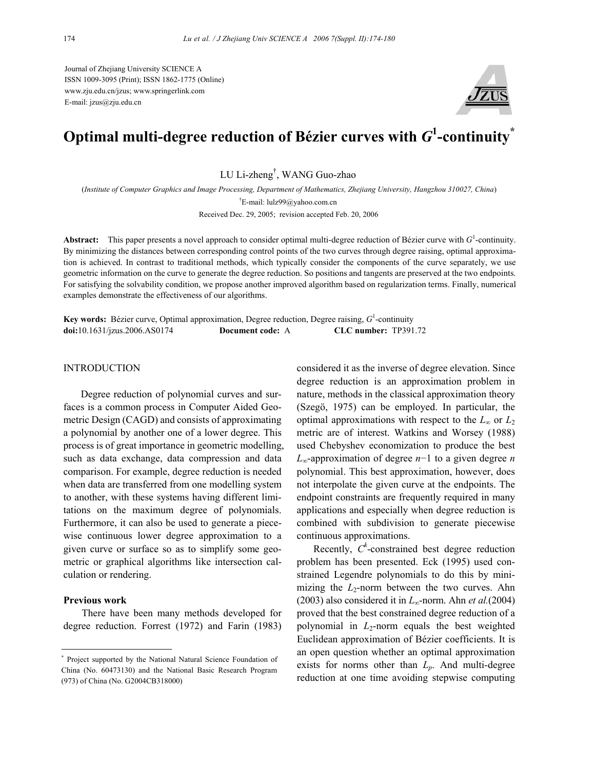Journal of Zhejiang University SCIENCE A ISSN 1009-3095 (Print); ISSN 1862-1775 (Online) www.zju.edu.cn/jzus; www.springerlink.com E-mail: jzus@zju.edu.cn



# Optimal multi-degree reduction of Bézier curves with  $\boldsymbol{G}^1$ -continuity $^*$

LU Li-zheng† , WANG Guo-zhao

(*Institute of Computer Graphics and Image Processing, Department of Mathematics, Zhejiang University, Hangzhou 310027, China*) † E-mail: lulz99@yahoo.com.cn

Received Dec. 29, 2005; revision accepted Feb. 20, 2006

Abstract: This paper presents a novel approach to consider optimal multi-degree reduction of Bézier curve with *G*<sup>1</sup>-continuity. By minimizing the distances between corresponding control points of the two curves through degree raising, optimal approximation is achieved. In contrast to traditional methods, which typically consider the components of the curve separately, we use geometric information on the curve to generate the degree reduction. So positions and tangents are preserved at the two endpoints. For satisfying the solvability condition, we propose another improved algorithm based on regularization terms. Finally, numerical examples demonstrate the effectiveness of our algorithms.

**Key words:** Bézier curve, Optimal approximation, Degree reduction, Degree raising, *G*<sup>1</sup> -continuity **doi:**10.1631/jzus.2006.AS0174 **Document code:** A **CLC number:** TP391.72

### INTRODUCTION

Degree reduction of polynomial curves and surfaces is a common process in Computer Aided Geometric Design (CAGD) and consists of approximating a polynomial by another one of a lower degree. This process is of great importance in geometric modelling, such as data exchange, data compression and data comparison. For example, degree reduction is needed when data are transferred from one modelling system to another, with these systems having different limitations on the maximum degree of polynomials. Furthermore, it can also be used to generate a piecewise continuous lower degree approximation to a given curve or surface so as to simplify some geometric or graphical algorithms like intersection calculation or rendering.

### **Previous work**

There have been many methods developed for degree reduction. Forrest (1972) and Farin (1983)

considered it as the inverse of degree elevation. Since degree reduction is an approximation problem in nature, methods in the classical approximation theory (Szegö, 1975) can be employed. In particular, the optimal approximations with respect to the  $L_{\infty}$  or  $L_2$ metric are of interest. Watkins and Worsey (1988) used Chebyshev economization to produce the best *L*∞-approximation of degree *n*−1 to a given degree *n* polynomial. This best approximation, however, does not interpolate the given curve at the endpoints. The endpoint constraints are frequently required in many applications and especially when degree reduction is combined with subdivision to generate piecewise continuous approximations.

Recently,  $C^k$ -constrained best degree reduction problem has been presented. Eck (1995) used constrained Legendre polynomials to do this by minimizing the  $L_2$ -norm between the two curves. Ahn (2003) also considered it in *L*∞-norm. Ahn *et al.*(2004) proved that the best constrained degree reduction of a polynomial in  $L_2$ -norm equals the best weighted Euclidean approximation of Bézier coefficients. It is an open question whether an optimal approximation exists for norms other than *Lp*. And multi-degree reduction at one time avoiding stepwise computing

<sup>\*</sup> Project supported by the National Natural Science Foundation of China (No. 60473130) and the National Basic Research Program (973) of China (No. G2004CB318000)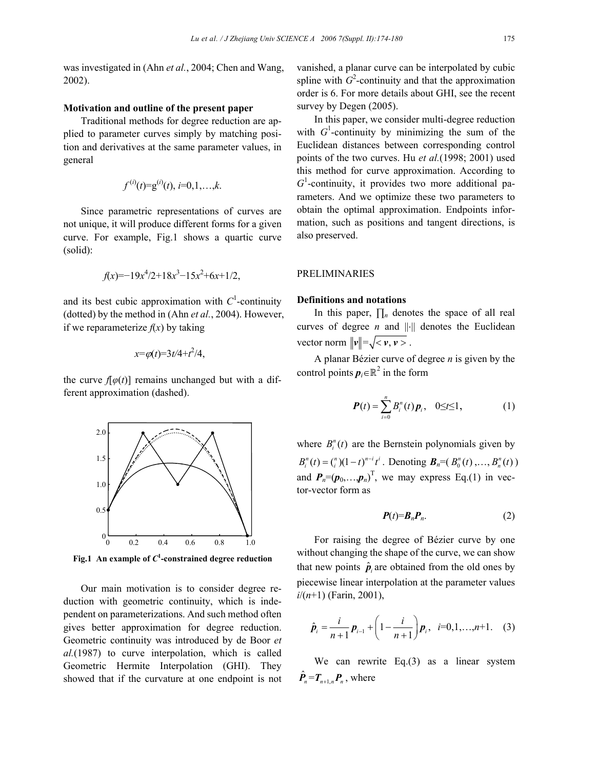was investigated in (Ahn *et al.*, 2004; Chen and Wang, 2002).

### **Motivation and outline of the present paper**

Traditional methods for degree reduction are applied to parameter curves simply by matching position and derivatives at the same parameter values, in general

$$
f^{(i)}(t)=g^{(i)}(t), i=0,1,\ldots,k.
$$

Since parametric representations of curves are not unique, it will produce different forms for a given curve. For example, Fig.1 shows a quartic curve (solid):

$$
f(x) = -19x^4/2 + 18x^3 - 15x^2 + 6x + 1/2,
$$

and its best cubic approximation with  $C<sup>1</sup>$ -continuity (dotted) by the method in (Ahn *et al.*, 2004). However, if we reparameterize  $f(x)$  by taking

$$
x = \varphi(t) = 3t/4 + t^2/4,
$$

the curve  $f[\varphi(t)]$  remains unchanged but with a different approximation (dashed).



**Fig.1 An example of** *C***<sup>1</sup> -constrained degree reduction**

Our main motivation is to consider degree reduction with geometric continuity, which is independent on parameterizations. And such method often gives better approximation for degree reduction. Geometric continuity was introduced by de Boor *et al.*(1987) to curve interpolation, which is called Geometric Hermite Interpolation (GHI). They showed that if the curvature at one endpoint is not vanished, a planar curve can be interpolated by cubic spline with  $G^2$ -continuity and that the approximation order is 6. For more details about GHI, see the recent survey by Degen (2005).

In this paper, we consider multi-degree reduction with  $G^1$ -continuity by minimizing the sum of the Euclidean distances between corresponding control points of the two curves. Hu *et al.*(1998; 2001) used this method for curve approximation. According to  $G<sup>1</sup>$ -continuity, it provides two more additional parameters. And we optimize these two parameters to obtain the optimal approximation. Endpoints information, such as positions and tangent directions, is also preserved.

### PRELIMINARIES

### **Definitions and notations**

In this paper, ∏*n* denotes the space of all real curves of degree *n* and ||⋅|| denotes the Euclidean vector norm  $\|\mathbf{v}\| = \sqrt{\langle \mathbf{v}, \mathbf{v} \rangle}$ .

A planar Bézier curve of degree *n* is given by the control points  $p_i \in \mathbb{R}^2$  in the form

$$
\boldsymbol{P}(t) = \sum_{i=0}^{n} B_{i}^{n}(t) \, \boldsymbol{p}_{i}, \quad 0 \leq t \leq 1, \tag{1}
$$

where  $B_i^n(t)$  are the Bernstein polynomials given by  $B_i^n(t) = \binom{n}{i} (1-t)^{n-i} t^i$ . Denoting  $B_n = (B_0^n(t), \ldots, B_n^n(t))$ and  $P_n=(p_0,...,p_n)^T$ , we may express Eq.(1) in vector-vector form as

$$
P(t)=B_n P_n. \tag{2}
$$

For raising the degree of Bézier curve by one without changing the shape of the curve, we can show that new points  $\hat{p}_i$  are obtained from the old ones by piecewise linear interpolation at the parameter values *i*/(*n*+1) (Farin, 2001),

$$
\hat{\boldsymbol{p}}_i = \frac{i}{n+1} \boldsymbol{p}_{i-1} + \left(1 - \frac{i}{n+1}\right) \boldsymbol{p}_i, \ \ i = 0, 1, \dots, n+1. \tag{3}
$$

We can rewrite Eq.(3) as a linear system  $\hat{\boldsymbol{P}}_{n} = \boldsymbol{T}_{n+1,n} \boldsymbol{P}_{n}$ , where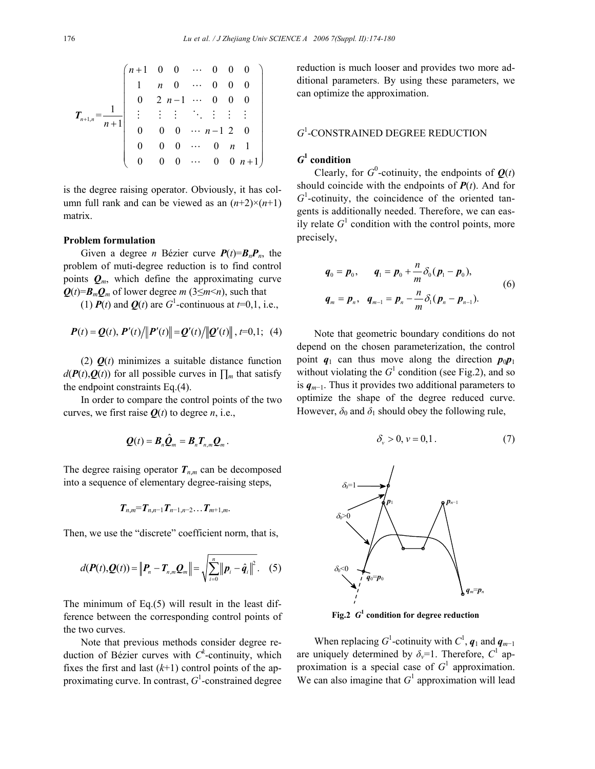$$
T_{n+1,n} = \frac{1}{n+1} \begin{pmatrix} n+1 & 0 & 0 & \cdots & 0 & 0 & 0 \\ 1 & n & 0 & \cdots & 0 & 0 & 0 \\ 0 & 2 & n-1 & \cdots & 0 & 0 & 0 \\ \vdots & \vdots & \vdots & \ddots & \vdots & \vdots & \vdots \\ 0 & 0 & 0 & \cdots & n-1 & 2 & 0 \\ 0 & 0 & 0 & \cdots & 0 & n & 1 \\ 0 & 0 & 0 & \cdots & 0 & 0 & n+1 \end{pmatrix}
$$

is the degree raising operator. Obviously, it has column full rank and can be viewed as an  $(n+2) \times (n+1)$ matrix.

### **Problem formulation**

Given a degree *n* Bézier curve  $P(t)=B_nP_n$ , the problem of muti-degree reduction is to find control points  $Q_m$ , which define the approximating curve  $Q(t)=B_mQ_m$  of lower degree *m* (3≤*m*<*n*), such that

(1)  $P(t)$  and  $Q(t)$  are  $G^1$ -continuous at  $t=0,1$ , i.e.,

$$
\mathbf{P}(t) = \mathbf{Q}(t), \mathbf{P}'(t) / ||\mathbf{P}'(t)|| = \mathbf{Q}'(t) / ||\mathbf{Q}'(t)||, t=0,1; (4)
$$

(2)  $\mathbf{O}(t)$  minimizes a suitable distance function  $d(P(t), Q(t))$  for all possible curves in  $\prod_m$  that satisfy the endpoint constraints Eq.(4).

In order to compare the control points of the two curves, we first raise  $Q(t)$  to degree *n*, i.e.,

$$
\mathbf{Q}(t)=\mathbf{B}_n\hat{\mathbf{Q}}_m=\mathbf{B}_n\mathbf{T}_{n,m}\mathbf{Q}_m.
$$

The degree raising operator  $T_{n,m}$  can be decomposed into a sequence of elementary degree-raising steps,

$$
T_{n,m}=T_{n,n-1}T_{n-1,n-2}\ldots T_{m+1,m}.
$$

Then, we use the "discrete" coefficient norm, that is,

$$
d(\bm{P}(t),\bm{Q}(t)) = \left\|\bm{P}_n - \bm{T}_{n,m}\bm{Q}_m\right\| = \sqrt{\sum_{i=0}^n \left\|\bm{p}_i - \hat{\bm{q}}_i\right\|^2}. \quad (5)
$$

The minimum of Eq.(5) will result in the least difference between the corresponding control points of the two curves.

Note that previous methods consider degree reduction of Bézier curves with  $C^k$ -continuity, which fixes the first and last  $(k+1)$  control points of the approximating curve. In contrast, *G*<sup>1</sup> -constrained degree reduction is much looser and provides two more additional parameters. By using these parameters, we can optimize the approximation.

## *G*1 -CONSTRAINED DEGREE REDUCTION

### *G***1 condition**

Clearly, for  $G^0$ -cotinuity, the endpoints of  $Q(t)$ should coincide with the endpoints of  $P(t)$ . And for  $G<sup>1</sup>$ -cotinuity, the coincidence of the oriented tangents is additionally needed. Therefore, we can easily relate  $G<sup>1</sup>$  condition with the control points, more precisely,

$$
q_0 = p_0, \qquad q_1 = p_0 + \frac{n}{m} \delta_0 (p_1 - p_0),
$$
  
\n
$$
q_m = p_n, \quad q_{m-1} = p_n - \frac{n}{m} \delta_1 (p_n - p_{n-1}).
$$
\n(6)

Note that geometric boundary conditions do not depend on the chosen parameterization, the control point  $q_1$  can thus move along the direction  $p_0p_1$ without violating the  $G^1$  condition (see Fig.2), and so is *qm*−1. Thus it provides two additional parameters to optimize the shape of the degree reduced curve. However,  $\delta_0$  and  $\delta_1$  should obey the following rule,

$$
\delta_{\nu} > 0, \nu = 0, 1. \tag{7}
$$



**Fig.2** *G***<sup>1</sup> condition for degree reduction**

When replacing  $G^1$ -cotinuity with  $C^1$ ,  $q_1$  and  $q_{m-1}$ are uniquely determined by  $\delta_{\nu} = 1$ . Therefore,  $C^1$  approximation is a special case of  $G<sup>1</sup>$  approximation. We can also imagine that  $G<sup>1</sup>$  approximation will lead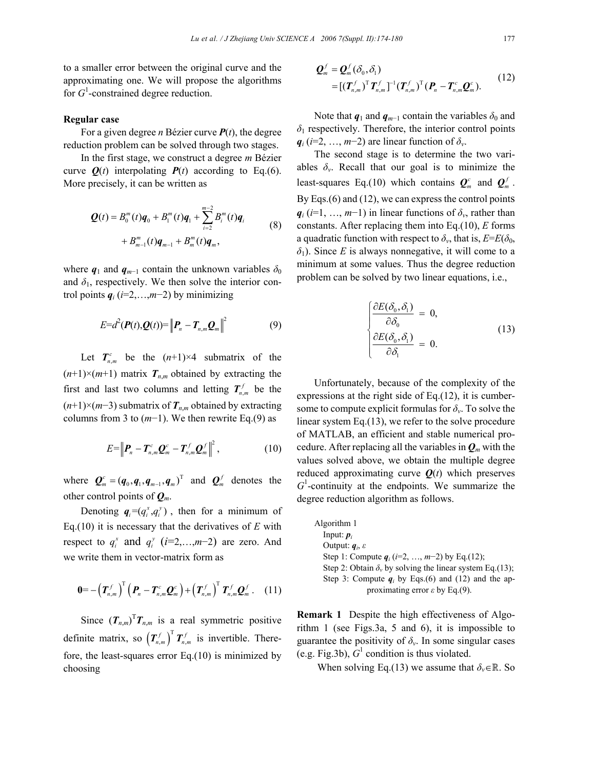to a smaller error between the original curve and the approximating one. We will propose the algorithms for  $G^1$ -constrained degree reduction.

### **Regular case**

For a given degree *n* Bézier curve *P*(*t*), the degree reduction problem can be solved through two stages.

In the first stage, we construct a degree *m* Bézier curve  $Q(t)$  interpolating  $P(t)$  according to Eq.(6). More precisely, it can be written as

$$
\mathbf{Q}(t) = B_0^m(t)\mathbf{q}_0 + B_1^m(t)\mathbf{q}_1 + \sum_{i=2}^{m-2} B_i^m(t)\mathbf{q}_i
$$
  
+ 
$$
B_{m-1}^m(t)\mathbf{q}_{m-1} + B_m^m(t)\mathbf{q}_m,
$$
 (8)

where  $q_1$  and  $q_{m-1}$  contain the unknown variables  $\delta_0$ and  $\delta_1$ , respectively. We then solve the interior control points  $q_i$  ( $i=2,...,m-2$ ) by minimizing

$$
E=d^2(\boldsymbol{P}(t),\boldsymbol{Q}(t))=\left\|\boldsymbol{P}_n-\boldsymbol{T}_{n,m}\boldsymbol{Q}_m\right\|^2 \qquad (9)
$$

Let  $T_{n,m}^c$  be the  $(n+1) \times 4$  submatrix of the  $(n+1) \times (m+1)$  matrix  $T_{n,m}$  obtained by extracting the first and last two columns and letting  $T_{n,m}^f$  be the (*n*+1)×(*m*−3) submatrix of *Tn*,*<sup>m</sup>* obtained by extracting columns from 3 to (*m*−1). We then rewrite Eq.(9) as

$$
E=\left\|\boldsymbol{P}_n-\boldsymbol{T}^c_{n,m}\boldsymbol{Q}^c_m-\boldsymbol{T}^f_{n,m}\boldsymbol{Q}^f_m\right\|^2,\qquad\qquad(10)
$$

where  $\boldsymbol{Q}_m^c = (\boldsymbol{q}_0, \boldsymbol{q}_1, \boldsymbol{q}_{m-1}, \boldsymbol{q}_m)^T$  and  $\boldsymbol{Q}_m^f$  denotes the other control points of *Qm*.

Denoting  $q_i = (q_i^x, q_i^y)$ , then for a minimum of Eq.(10) it is necessary that the derivatives of *E* with respect to  $q_i^x$  and  $q_i^y$  (*i*=2,…,*m*-2) are zero. And we write them in vector-matrix form as

$$
\mathbf{0} = -\left(\boldsymbol{T}_{n,m}^f\right)^T \left(\boldsymbol{P}_n - \boldsymbol{T}_{n,m}^c \boldsymbol{Q}_m^c\right) + \left(\boldsymbol{T}_{n,m}^f\right)^T \boldsymbol{T}_{n,m}^f \boldsymbol{Q}_m^f. \quad (11)
$$

Since  $(T_{n,m})^T T_{n,m}$  is a real symmetric positive definite matrix, so  $(T_{n,m}^f)^T T_{n,m}^f$  is invertible. Therefore, the least-squares error Eq.(10) is minimized by choosing

$$
\mathbf{Q}_m^f = \mathbf{Q}_m^f(\delta_0, \delta_1)
$$
  
= 
$$
[(\mathbf{T}_{n,m}^f)^T \mathbf{T}_{n,m}^f]^{-1} (\mathbf{T}_{n,m}^f)^T (\mathbf{P}_n - \mathbf{T}_{n,m}^c \mathbf{Q}_m^c).
$$
 (12)

Note that  $q_1$  and  $q_{m-1}$  contain the variables  $\delta_0$  and  $\delta_1$  respectively. Therefore, the interior control points  $q_i$  (*i*=2, …, *m*−2) are linear function of  $\delta$ <sup>*v*</sup>.

The second stage is to determine the two variables  $\delta_{\nu}$ . Recall that our goal is to minimize the least-squares Eq.(10) which contains  $Q_m^c$  and  $Q_m^f$ . By Eqs.(6) and (12), we can express the control points  $q_i$  (*i*=1, …, *m*−1) in linear functions of  $\delta_v$ , rather than constants. After replacing them into Eq.(10), *E* forms a quadratic function with respect to  $\delta_{\nu}$ , that is,  $E=E(\delta_0,$ *δ*1). Since *E* is always nonnegative, it will come to a minimum at some values. Thus the degree reduction problem can be solved by two linear equations, i.e.,

$$
\begin{cases}\n\frac{\partial E(\delta_0, \delta_1)}{\partial \delta_0} = 0, \\
\frac{\partial E(\delta_0, \delta_1)}{\partial \delta_1} = 0.\n\end{cases}
$$
\n(13)

Unfortunately, because of the complexity of the expressions at the right side of Eq.(12), it is cumbersome to compute explicit formulas for  $\delta_{\nu}$ . To solve the linear system Eq.(13), we refer to the solve procedure of MATLAB, an efficient and stable numerical procedure. After replacing all the variables in  $Q_m$  with the values solved above, we obtain the multiple degree reduced approximating curve  $Q(t)$  which preserves  $G<sup>1</sup>$ -continuity at the endpoints. We summarize the degree reduction algorithm as follows.

| Algorithm 1                                                         |  |
|---------------------------------------------------------------------|--|
| Input: $p_i$                                                        |  |
| Output: $q_i$ , $\varepsilon$                                       |  |
| Step 1: Compute $q_i$ ( <i>i</i> =2, , <i>m</i> -2) by Eq.(12);     |  |
| Step 2: Obtain $\delta_{\nu}$ by solving the linear system Eq.(13); |  |
| Step 3: Compute $q_i$ by Eqs. (6) and (12) and the ap-              |  |
| proximating error $\varepsilon$ by Eq.(9).                          |  |
|                                                                     |  |

**Remark 1** Despite the high effectiveness of Algorithm 1 (see Figs.3a, 5 and 6), it is impossible to guarantee the positivity of  $\delta_{\nu}$ . In some singular cases (e.g. Fig.3b),  $G^1$  condition is thus violated.

When solving Eq.(13) we assume that  $\delta_v \in \mathbb{R}$ . So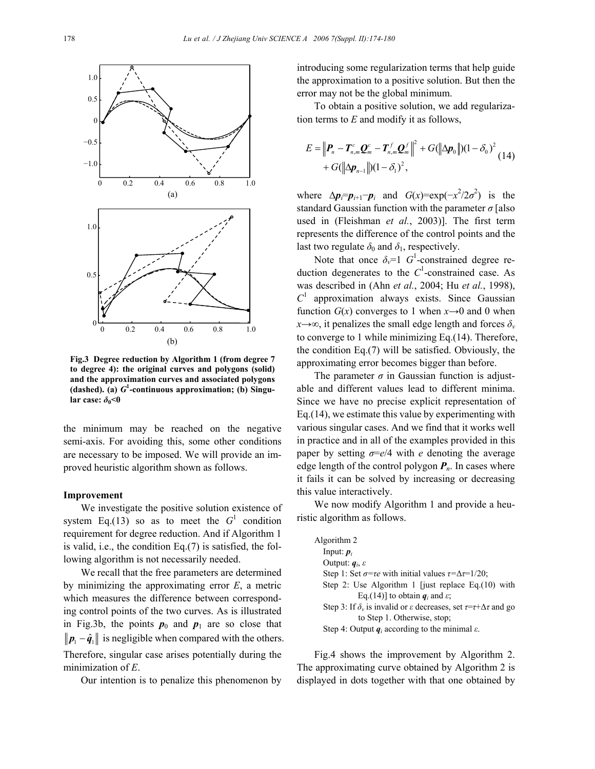

**Fig.3 Degree reduction by Algorithm 1 (from degree 7 to degree 4): the original curves and polygons (solid) and the approximation curves and associated polygons (dashed). (a)** *G***<sup>1</sup> -continuous approximation; (b) Singular case:**  $\delta_0$ <0

the minimum may be reached on the negative semi-axis. For avoiding this, some other conditions are necessary to be imposed. We will provide an improved heuristic algorithm shown as follows.

### **Improvement**

We investigate the positive solution existence of system Eq.(13) so as to meet the  $G<sup>1</sup>$  condition requirement for degree reduction. And if Algorithm 1 is valid, i.e., the condition Eq.(7) is satisfied, the following algorithm is not necessarily needed.

We recall that the free parameters are determined by minimizing the approximating error *E*, a metric which measures the difference between corresponding control points of the two curves. As is illustrated in Fig.3b, the points  $p_0$  and  $p_1$  are so close that  $||p_1 - \hat{q}_1||$  is negligible when compared with the others. Therefore, singular case arises potentially during the minimization of *E*.

Our intention is to penalize this phenomenon by

introducing some regularization terms that help guide the approximation to a positive solution. But then the error may not be the global minimum.

To obtain a positive solution, we add regularization terms to *E* and modify it as follows,

$$
E = \left\| \boldsymbol{P}_n - \boldsymbol{T}_{n,m}^c \boldsymbol{Q}_m^c - \boldsymbol{T}_{n,m}^f \boldsymbol{Q}_m^f \right\|^2 + G(\left\| \Delta \boldsymbol{p}_0 \right\|)(1 - \delta_0)^2 + G(\left\| \Delta \boldsymbol{p}_{n-1} \right\|)(1 - \delta_1)^2, \tag{14}
$$

where  $\Delta p_i = p_{i+1} - p_i$  and  $G(x) = \exp(-x^2/2\sigma^2)$  is the standard Gaussian function with the parameter *σ* [also used in (Fleishman *et al.*, 2003)]. The first term represents the difference of the control points and the last two regulate  $\delta_0$  and  $\delta_1$ , respectively.

Note that once  $\delta_{\nu} = 1$   $G^1$ -constrained degree reduction degenerates to the  $C<sup>1</sup>$ -constrained case. As was described in (Ahn *et al.*, 2004; Hu *et al.*, 1998),  $C<sup>1</sup>$  approximation always exists. Since Gaussian function  $G(x)$  converges to 1 when  $x \rightarrow 0$  and 0 when  $x \rightarrow \infty$ , it penalizes the small edge length and forces  $\delta_y$ to converge to 1 while minimizing Eq.(14). Therefore, the condition Eq.(7) will be satisfied. Obviously, the approximating error becomes bigger than before.

The parameter  $\sigma$  in Gaussian function is adjustable and different values lead to different minima. Since we have no precise explicit representation of Eq.(14), we estimate this value by experimenting with various singular cases. And we find that it works well in practice and in all of the examples provided in this paper by setting *σ*=*e*/4 with *e* denoting the average edge length of the control polygon *Pn*. In cases where it fails it can be solved by increasing or decreasing this value interactively.

We now modify Algorithm 1 and provide a heuristic algorithm as follows.

| Algorithm 2                                                                                         |
|-----------------------------------------------------------------------------------------------------|
| Input: $p_i$                                                                                        |
| Output: $q_i$ , $\varepsilon$                                                                       |
| Step 1: Set $\sigma = \tau e$ with initial values $\tau = \Delta \tau = 1/20$ ;                     |
| Step 2: Use Algorithm 1 [just replace Eq. $(10)$ with                                               |
| Eq.(14)] to obtain $q_i$ and $\varepsilon$ ;                                                        |
| Step 3: If $\delta_v$ is invalid or $\varepsilon$ decreases, set $\tau = \tau + \Delta \tau$ and go |
| to Step 1. Otherwise, stop;                                                                         |
| Step 4: Output $q_i$ according to the minimal $\varepsilon$ .                                       |

Fig.4 shows the improvement by Algorithm 2. The approximating curve obtained by Algorithm 2 is displayed in dots together with that one obtained by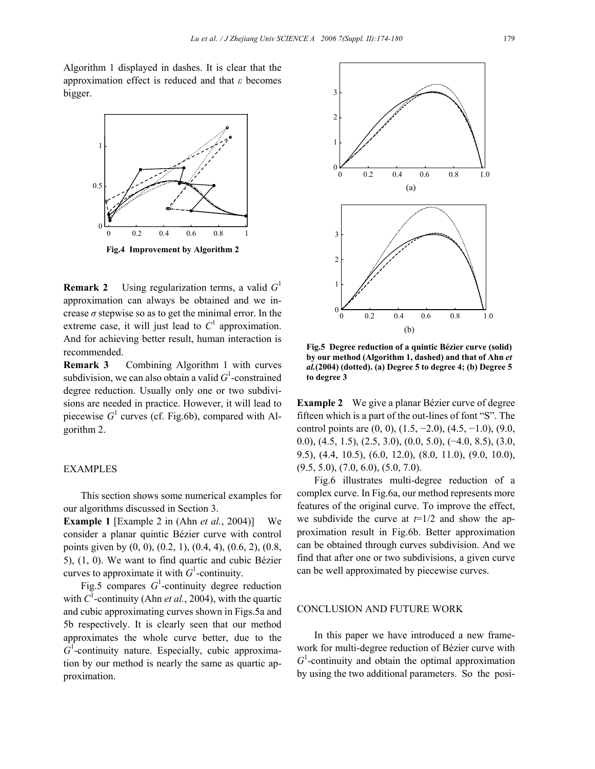Algorithm 1 displayed in dashes. It is clear that the approximation effect is reduced and that *ε* becomes bigger.



**Remark 2** Using regularization terms, a valid *G*<sup>1</sup> approximation can always be obtained and we increase  $\sigma$  stepwise so as to get the minimal error. In the extreme case, it will just lead to  $C<sup>1</sup>$  approximation. And for achieving better result, human interaction is recommended.

**Remark 3** Combining Algorithm 1 with curves subdivision, we can also obtain a valid  $G^1$ -constrained degree reduction. Usually only one or two subdivisions are needed in practice. However, it will lead to piecewise  $G^1$  curves (cf. Fig.6b), compared with Algorithm 2.

### EXAMPLES

This section shows some numerical examples for our algorithms discussed in Section 3.

**Example 1** [Example 2 in (Ahn *et al.*, 2004)] We consider a planar quintic Bézier curve with control points given by  $(0, 0)$ ,  $(0.2, 1)$ ,  $(0.4, 4)$ ,  $(0.6, 2)$ ,  $(0.8, 1)$ 5), (1, 0). We want to find quartic and cubic Bézier curves to approximate it with  $G<sup>1</sup>$ -continuity.

Fig.5 compares  $G^1$ -continuity degree reduction with  $C^1$ -continuity (Ahn *et al.*, 2004), with the quartic and cubic approximating curves shown in Figs.5a and 5b respectively. It is clearly seen that our method approximates the whole curve better, due to the  $G<sup>1</sup>$ -continuity nature. Especially, cubic approximation by our method is nearly the same as quartic approximation.



**Fig.5 Degree reduction of a quintic Bézier curve (solid) by our method (Algorithm 1, dashed) and that of Ahn** *et al.***(2004) (dotted). (a) Degree 5 to degree 4; (b) Degree 5 to degree 3**

**Example 2** We give a planar Bézier curve of degree fifteen which is a part of the out-lines of font "S". The control points are  $(0, 0)$ ,  $(1.5, -2.0)$ ,  $(4.5, -1.0)$ ,  $(9.0, 1.5)$ 0.0), (4.5, 1.5), (2.5, 3.0), (0.0, 5.0), (−4.0, 8.5), (3.0, 9.5), (4.4, 10.5), (6.0, 12.0), (8.0, 11.0), (9.0, 10.0),  $(9.5, 5.0), (7.0, 6.0), (5.0, 7.0).$ 

Fig.6 illustrates multi-degree reduction of a complex curve. In Fig.6a, our method represents more features of the original curve. To improve the effect, we subdivide the curve at *t*=1/2 and show the approximation result in Fig.6b. Better approximation can be obtained through curves subdivision. And we find that after one or two subdivisions, a given curve can be well approximated by piecewise curves.

### CONCLUSION AND FUTURE WORK

In this paper we have introduced a new framework for multi-degree reduction of Bézier curve with  $G<sup>1</sup>$ -continuity and obtain the optimal approximation by using the two additional parameters. So the posi-